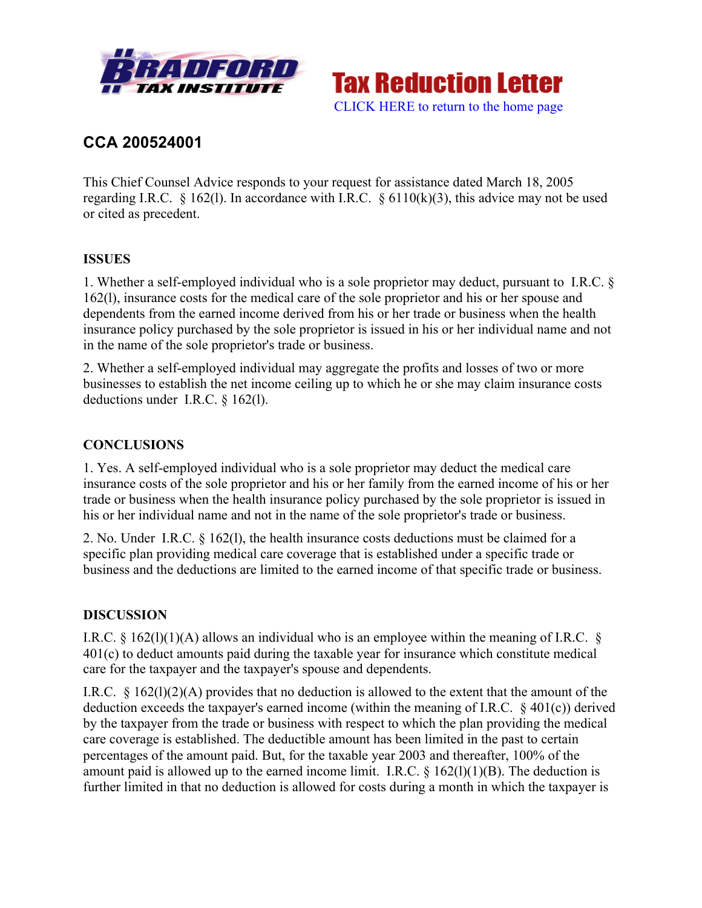

**Tax Reduction Letter** [CLICK HERE to return to the home page](bradfordtaxinstitute.com)

# **CCA 200524001**

This Chief Counsel Advice responds to your request for assistance dated March 18, 2005 regarding I.R.C. § 162(1). In accordance with I.R.C. § 6110(k)(3), this advice may not be used or cited as precedent.

### **ISSUES**

1. Whether a self-employed individual who is a sole proprietor may deduct, pursuant to I.R.C. § 162(l), insurance costs for the medical care of the sole proprietor and his or her spouse and dependents from the earned income derived from his or her trade or business when the health insurance policy purchased by the sole proprietor is issued in his or her individual name and not in the name of the sole proprietor's trade or business.

2. Whether a self-employed individual may aggregate the profits and losses of two or more businesses to establish the net income ceiling up to which he or she may claim insurance costs deductions under I.R.C. § 162(l).

### **CONCLUSIONS**

1. Yes. A self-employed individual who is a sole proprietor may deduct the medical care insurance costs of the sole proprietor and his or her family from the earned income of his or her trade or business when the health insurance policy purchased by the sole proprietor is issued in his or her individual name and not in the name of the sole proprietor's trade or business.

2. No. Under I.R.C. § 162(l), the health insurance costs deductions must be claimed for a specific plan providing medical care coverage that is established under a specific trade or business and the deductions are limited to the earned income of that specific trade or business.

#### **DISCUSSION**

I.R.C. § 162(1)(1)(A) allows an individual who is an employee within the meaning of I.R.C. § 401(c) to deduct amounts paid during the taxable year for insurance which constitute medical care for the taxpayer and the taxpayer's spouse and dependents.

I.R.C. § 162(l)(2)(A) provides that no deduction is allowed to the extent that the amount of the deduction exceeds the taxpayer's earned income (within the meaning of I.R.C. § 401(c)) derived by the taxpayer from the trade or business with respect to which the plan providing the medical care coverage is established. The deductible amount has been limited in the past to certain percentages of the amount paid. But, for the taxable year 2003 and thereafter, 100% of the amount paid is allowed up to the earned income limit. I.R.C.  $\S$  162(l)(1)(B). The deduction is further limited in that no deduction is allowed for costs during a month in which the taxpayer is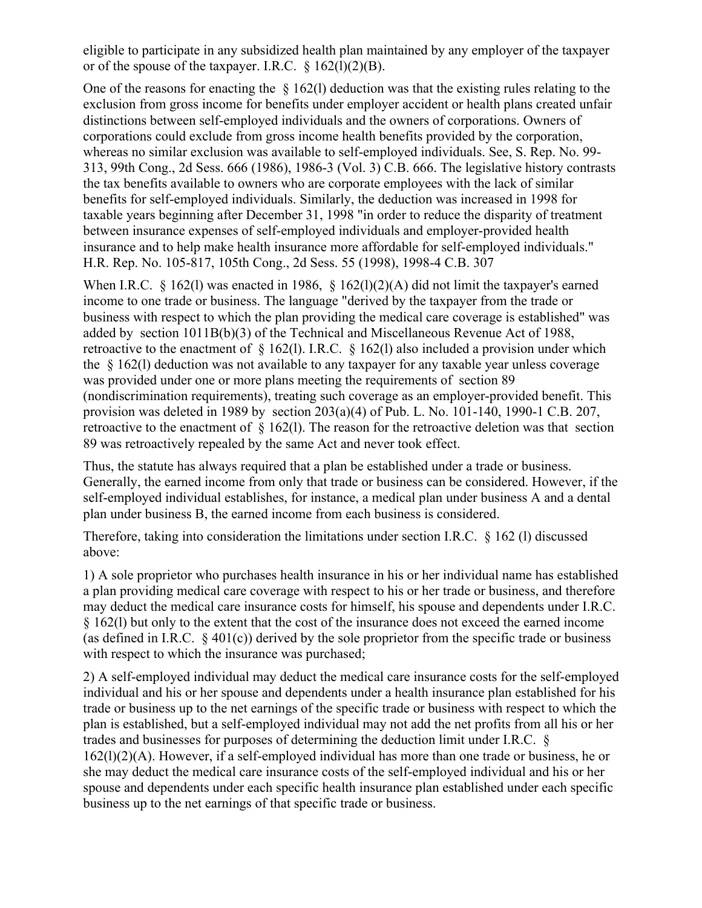eligible to participate in any subsidized health plan maintained by any employer of the taxpayer or of the spouse of the taxpayer. I.R.C.  $\S$  162(l)(2)(B).

One of the reasons for enacting the § 162(l) deduction was that the existing rules relating to the exclusion from gross income for benefits under employer accident or health plans created unfair distinctions between self-employed individuals and the owners of corporations. Owners of corporations could exclude from gross income health benefits provided by the corporation, whereas no similar exclusion was available to self-employed individuals. See, S. Rep. No. 99- 313, 99th Cong., 2d Sess. 666 (1986), 1986-3 (Vol. 3) C.B. 666. The legislative history contrasts the tax benefits available to owners who are corporate employees with the lack of similar benefits for self-employed individuals. Similarly, the deduction was increased in 1998 for taxable years beginning after December 31, 1998 "in order to reduce the disparity of treatment between insurance expenses of self-employed individuals and employer-provided health insurance and to help make health insurance more affordable for self-employed individuals." H.R. Rep. No. 105-817, 105th Cong., 2d Sess. 55 (1998), 1998-4 C.B. 307

When I.R.C.  $\frac{8}{162(1)}$  was enacted in 1986,  $\frac{8}{162(1)(2)(A)}$  did not limit the taxpayer's earned income to one trade or business. The language "derived by the taxpayer from the trade or business with respect to which the plan providing the medical care coverage is established" was added by section 1011B(b)(3) of the Technical and Miscellaneous Revenue Act of 1988, retroactive to the enactment of § 162(l). I.R.C. § 162(l) also included a provision under which the § 162(l) deduction was not available to any taxpayer for any taxable year unless coverage was provided under one or more plans meeting the requirements of section 89 (nondiscrimination requirements), treating such coverage as an employer-provided benefit. This provision was deleted in 1989 by section 203(a)(4) of Pub. L. No. 101-140, 1990-1 C.B. 207, retroactive to the enactment of § 162(l). The reason for the retroactive deletion was that section 89 was retroactively repealed by the same Act and never took effect.

Thus, the statute has always required that a plan be established under a trade or business. Generally, the earned income from only that trade or business can be considered. However, if the self-employed individual establishes, for instance, a medical plan under business A and a dental plan under business B, the earned income from each business is considered.

Therefore, taking into consideration the limitations under section I.R.C. § 162 (l) discussed above:

1) A sole proprietor who purchases health insurance in his or her individual name has established a plan providing medical care coverage with respect to his or her trade or business, and therefore may deduct the medical care insurance costs for himself, his spouse and dependents under I.R.C. § 162(l) but only to the extent that the cost of the insurance does not exceed the earned income (as defined in I.R.C.  $\&$  401(c)) derived by the sole proprietor from the specific trade or business with respect to which the insurance was purchased;

2) A self-employed individual may deduct the medical care insurance costs for the self-employed individual and his or her spouse and dependents under a health insurance plan established for his trade or business up to the net earnings of the specific trade or business with respect to which the plan is established, but a self-employed individual may not add the net profits from all his or her trades and businesses for purposes of determining the deduction limit under I.R.C. § 162(l)(2)(A). However, if a self-employed individual has more than one trade or business, he or she may deduct the medical care insurance costs of the self-employed individual and his or her spouse and dependents under each specific health insurance plan established under each specific business up to the net earnings of that specific trade or business.